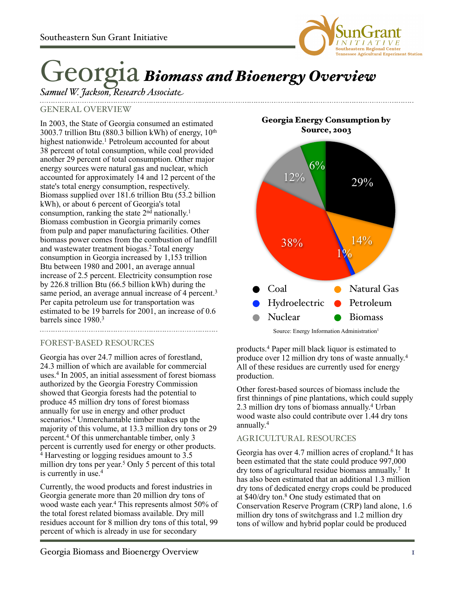

# Georgia *Biomass and Bioenergy Overview*

# *Samuel W. Jackson, Research Associate*

## GENERAL OVERVIEW

In 2003, the State of Georgia consumed an estimated 3003.7 trillion Btu (880.3 billion kWh) of energy, 10th highest nationwide.<sup>1</sup> Petroleum accounted for about 38 percent of total consumption, while coal provided another 29 percent of total consumption. Other major energy sources were natural gas and nuclear, which accounted for approximately 14 and 12 percent of the state's total energy consumption, respectively. Biomass supplied over 181.6 trillion Btu (53.2 billion kWh), or about 6 percent of Georgia's total consumption, ranking the state 2<sup>nd</sup> nationally.<sup>1</sup> Biomass combustion in Georgia primarily comes from pulp and paper manufacturing facilities. Other biomass power comes from the combustion of landfill and wastewater treatment biogas.2 Total energy consumption in Georgia increased by 1,153 trillion Btu between 1980 and 2001, an average annual increase of 2.5 percent. Electricity consumption rose by 226.8 trillion Btu (66.5 billion kWh) during the same period, an average annual increase of 4 percent.<sup>3</sup> Per capita petroleum use for transportation was estimated to be 19 barrels for 2001, an increase of 0.6 barrels since 1980.3

### FOREST-BASED RESOURCES

Georgia has over 24.7 million acres of forestland, 24.3 million of which are available for commercial uses.4 In 2005, an initial assessment of forest biomass authorized by the Georgia Forestry Commission showed that Georgia forests had the potential to produce 45 million dry tons of forest biomass annually for use in energy and other product scenarios.4 Unmerchantable timber makes up the majority of this volume, at 13.3 million dry tons or 29 percent.4 Of this unmerchantable timber, only 3 percent is currently used for energy or other products.  $4$  Harvesting or logging residues amount to  $3.5$ million dry tons per year. 5 Only 5 percent of this total is currently in use.4

Currently, the wood products and forest industries in Georgia generate more than 20 million dry tons of wood waste each year. <sup>4</sup> This represents almost 50% of the total forest related biomass available. Dry mill residues account for 8 million dry tons of this total, 99 percent of which is already in use for secondary

Georgia Energy Consumption by Source, 2003



Source: Energy Information Administration<sup>1</sup>

products.4 Paper mill black liquor is estimated to produce over 12 million dry tons of waste annually. 4 All of these residues are currently used for energy production.

Other forest-based sources of biomass include the first thinnings of pine plantations, which could supply 2.3 million dry tons of biomass annually. 4 Urban wood waste also could contribute over 1.44 dry tons annually. 4

### AGRICULTURAL RESOURCES

Georgia has over 4.7 million acres of cropland.<sup>6</sup> It has been estimated that the state could produce 997,000 dry tons of agricultural residue biomass annually. 7 It has also been estimated that an additional 1.3 million dry tons of dedicated energy crops could be produced at \$40/dry ton.8 One study estimated that on Conservation Reserve Program (CRP) land alone, 1.6 million dry tons of switchgrass and 1.2 million dry tons of willow and hybrid poplar could be produced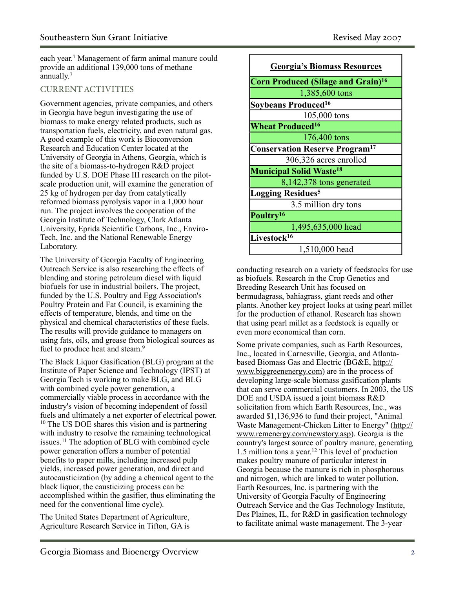each year. 7 Management of farm animal manure could provide an additional 139,000 tons of methane annually.<sup>7</sup>

#### CURRENT ACTIVITIES

Government agencies, private companies, and others in Georgia have begun investigating the use of biomass to make energy related products, such as transportation fuels, electricity, and even natural gas. A good example of this work is Bioconversion Research and Education Center located at the University of Georgia in Athens, Georgia, which is the site of a biomass-to-hydrogen R&D project funded by U.S. DOE Phase III research on the pilotscale production unit, will examine the generation of 25 kg of hydrogen per day from catalytically reformed biomass pyrolysis vapor in a 1,000 hour run. The project involves the cooperation of the Georgia Institute of Technology, Clark Atlanta University, Eprida Scientific Carbons, Inc., Enviro-Tech, Inc. and the National Renewable Energy Laboratory.

The University of Georgia Faculty of Engineering Outreach Service is also researching the effects of blending and storing petroleum diesel with liquid biofuels for use in industrial boilers. The project, funded by the U.S. Poultry and Egg Association's Poultry Protein and Fat Council, is examining the effects of temperature, blends, and time on the physical and chemical characteristics of these fuels. The results will provide guidance to managers on using fats, oils, and grease from biological sources as fuel to produce heat and steam.<sup>9</sup>

The Black Liquor Gasification (BLG) program at the Institute of Paper Science and Technology (IPST) at Georgia Tech is working to make BLG, and BLG with combined cycle power generation, a commercially viable process in accordance with the industry's vision of becoming independent of fossil fuels and ultimately a net exporter of electrical power. <sup>10</sup> The US DOE shares this vision and is partnering with industry to resolve the remaining technological issues.11 The adoption of BLG with combined cycle power generation offers a number of potential benefits to paper mills, including increased pulp yields, increased power generation, and direct and autocausticization (by adding a chemical agent to the black liquor, the causticizing process can be accomplished within the gasifier, thus eliminating the need for the conventional lime cycle).

The United States Department of Agriculture, Agriculture Research Service in Tifton, GA is



conducting research on a variety of feedstocks for use as biofuels. Research in the Crop Genetics and Breeding Research Unit has focused on bermudagrass, bahiagrass, giant reeds and other plants. Another key project looks at using pearl millet for the production of ethanol. Research has shown that using pearl millet as a feedstock is equally or even more economical than corn.

Some private companies, such as Earth Resources, Inc., located in Carnesville, Georgia, and Atlantabased Biomass Gas and Electric (BG&E, [http://](http://www.biggreenenergy.com) [www.biggreenenergy.com\)](http://www.biggreenenergy.com) are in the process of developing large-scale biomass gasification plants that can serve commercial customers. In 2003, the US DOE and USDA issued a joint biomass R&D solicitation from which Earth Resources, Inc., was awarded \$1,136,936 to fund their project, "Animal Waste Management-Chicken Litter to Energy" [\(http://](http://www.remenergy.com/newstory.asp) [www.remenergy.com/newstory.asp](http://www.remenergy.com/newstory.asp)). Georgia is the country's largest source of poultry manure, generating 1.5 million tons a year. <sup>12</sup> This level of production makes poultry manure of particular interest in Georgia because the manure is rich in phosphorous and nitrogen, which are linked to water pollution. Earth Resources, Inc. is partnering with the University of Georgia Faculty of Engineering Outreach Service and the Gas Technology Institute, Des Plaines, IL, for R&D in gasification technology to facilitate animal waste management. The 3-year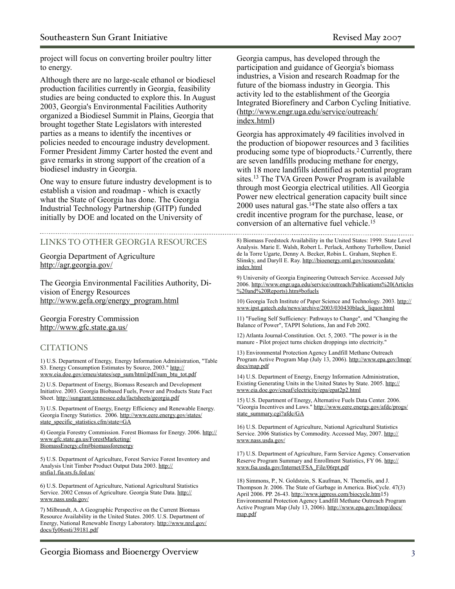project will focus on converting broiler poultry litter to energy.

Although there are no large-scale ethanol or biodiesel production facilities currently in Georgia, feasibility studies are being conducted to explore this. In August 2003, Georgia's Environmental Facilities Authority organized a Biodiesel Summit in Plains, Georgia that brought together State Legislators with interested parties as a means to identify the incentives or policies needed to encourage industry development. Former President Jimmy Carter hosted the event and gave remarks in strong support of the creation of a biodiesel industry in Georgia.

One way to ensure future industry development is to establish a vision and roadmap - which is exactly what the State of Georgia has done. The Georgia Industrial Technology Partnership (GITP) funded initially by DOE and located on the University of

#### LINKS TO OTHER GEORGIA RESOURCES

Georgia Department of Agriculture <http://agr.georgia.gov/>

The Georgia Environmental Facilities Authority, Division of Energy Resources [http://www.gefa.org/energy\\_program.html](http://www.gefa.org/energy_program.html)

Georgia Forestry Commission <http://www.gfc.state.ga.us/>

#### **CITATIONS**

1) U.S. Department of Energy, Energy Information Administration, "Table S3. Energy Consumption Estimates by Source, 2003." [http://](http://www.eia.doe.gov/emeu/states/sep_sum/html/pdf/sum_btu_tot.pdf) [www.eia.doe.gov/emeu/states/sep\\_sum/html/pdf/sum\\_btu\\_tot.pdf](http://www.eia.doe.gov/emeu/states/sep_sum/html/pdf/sum_btu_tot.pdf)

2) U.S. Department of Energy, Biomass Research and Development Initiative. 2003. Georgia Biobased Fuels, Power and Products State Fact Sheet. <http://sungrant.tennessee.edu/factsheets/georgia.pdf>

3) U.S. Department of Energy, Energy Efficiency and Renewable Energy. Georgia Energy Statistics. 2006. [http://www.eere.energy.gov/states/](http://www.eere.energy.gov/states/state_specific_statistics.cfm/state=GA) [state\\_specific\\_statistics.cfm/state=GA](http://www.eere.energy.gov/states/state_specific_statistics.cfm/state=GA)

4) Georgia Forestry Commission. Forest Biomass for Energy. 2006. [http://](http://www.gfc.state.ga.us/ForestMarketing/BiomassEnergy.cfm#biomassforenergy) [www.gfc.state.ga.us/ForestMarketing/](http://www.gfc.state.ga.us/ForestMarketing/BiomassEnergy.cfm#biomassforenergy) [BiomassEnergy.cfm#biomassforenergy](http://www.gfc.state.ga.us/ForestMarketing/BiomassEnergy.cfm#biomassforenergy)

5) U.S. Department of Agriculture, Forest Service Forest Inventory and Analysis Unit Timber Product Output Data 2003. [http://](http://srsfia1.fia.srs.fs.fed.us/) [srsfia1.fia.srs.fs.fed.us/](http://srsfia1.fia.srs.fs.fed.us/)

6) U.S. Department of Agriculture, National Agricultural Statistics Service. 2002 Census of Agriculture. Georgia State Data. [http://](http://www.nass.usda.gov/) [www.nass.usda.gov/](http://www.nass.usda.gov/)

7) Milbrandt, A. A Geographic Perspective on the Current Biomass Resource Availability in the United States. 2005. U.S. Department of Energy, National Renewable Energy Laboratory. [http://www.nrel.gov/](http://www.nrel.gov/docs/fy06osti/39181.pdf) [docs/fy06osti/39181.pdf](http://www.nrel.gov/docs/fy06osti/39181.pdf)

Georgia campus, has developed through the participation and guidance of Georgia's biomass industries, a Vision and research Roadmap for the future of the biomass industry in Georgia. This activity led to the establishment of the Georgia Integrated Biorefinery and Carbon Cycling Initiative. [\(http://www.engr.uga.edu/service/outreach/](http://www.engr.uga.edu/service/outreach/index.html) [index.html\)](http://www.engr.uga.edu/service/outreach/index.html)

Georgia has approximately 49 facilities involved in the production of biopower resources and 3 facilities producing some type of bioproducts.2 Currently, there are seven landfills producing methane for energy, with 18 more landfills identified as potential program sites.13 The TVA Green Power Program is available through most Georgia electrical utilities. All Georgia Power new electrical generation capacity built since 2000 uses natural gas.<sup>14</sup>The state also offers a tax credit incentive program for the purchase, lease, or conversion of an alternative fuel vehicle.15

8) Biomass Feedstock Availability in the United States: 1999. State Level Analysis. Marie E. Walsh, Robert L. Perlack, Anthony Turhollow, Daniel de la Torre Ugarte, Denny A. Becker, Robin L. Graham, Stephen E. Slinsky, and Daryll E. Ray. [http://bioenergy.ornl.gov/resourcedata/](http://bioenergy.ornl.gov/resourcedata/index.html) [index.html](http://bioenergy.ornl.gov/resourcedata/index.html)

9) University of Georgia Engineering Outreach Service. Accessed July 2006. [http://www.engr.uga.edu/service/outreach/Publications%20\(Articles](http://www.engr.uga.edu/service/outreach/Publications%20(Articles%20and%20Reports).htm#bofuels) [%20and%20Reports\).htm#bofuels](http://www.engr.uga.edu/service/outreach/Publications%20(Articles%20and%20Reports).htm#bofuels)

10) Georgia Tech Institute of Paper Science and Technology. 2003. [http://](http://www.ipst.gatech.edu/news/archive/2003/030430black_liquor.html) [www.ipst.gatech.edu/news/archive/2003/030430black\\_liquor.html](http://www.ipst.gatech.edu/news/archive/2003/030430black_liquor.html)

11) "Fueling Self Sufficiency: Pathways to Change", and "Changing the Balance of Power", TAPPI Solutions, Jan and Feb 2002.

12) Atlanta Journal-Constitution. Oct. 5, 2003. "The power is in the manure - Pilot project turns chicken droppings into electricity."

13) Environmental Protection Agency Landfill Methane Outreach Program Active Program Map (July 13, 2006). [http://www.epa.gov/lmop/](http://www.epa.gov/lmop/docs/map.pdf) [docs/map.pdf](http://www.epa.gov/lmop/docs/map.pdf)

14) U.S. Department of Energy, Energy Information Administration, Existing Generating Units in the United States by State. 2005. [http://](http://www.eia.doe.gov/cneaf/electricity/epa/epat2p2.html) [www.eia.doe.gov/cneaf/electricity/epa/epat2p2.html](http://www.eia.doe.gov/cneaf/electricity/epa/epat2p2.html)

15) U.S. Department of Energy, Alternative Fuels Data Center. 2006. "Georgia Incentives and Laws." [http://www.eere.energy.gov/afdc/progs/](http://www.eere.energy.gov/afdc/progs/state_summary.cgi?afdc/GA) [state\\_summary.cgi?afdc/GA](http://www.eere.energy.gov/afdc/progs/state_summary.cgi?afdc/GA)

16) U.S. Department of Agriculture, National Agricultural Statistics Service. 2006 Statistics by Commodity. Accessed May, 2007. [http://](http://www.nass.usda.gov/) [www.nass.usda.gov/](http://www.nass.usda.gov/)

17) U.S. Department of Agriculture, Farm Service Agency. Conservation Reserve Program Summary and Enrollment Statistics, FY 06. [http://](http://www.fsa.usda.gov/Internet/FSA_File/06rpt.pdf) [www.fsa.usda.gov/Internet/FSA\\_File/06rpt.pdf](http://www.fsa.usda.gov/Internet/FSA_File/06rpt.pdf)

18) Simmons, P., N. Goldstein, S. Kaufman, N. Themelis, and J. Thompson Jr. 2006. The State of Garbage in America. BioCycle. 47(3) April 2006. PP. 26-43.<http://www.jgpress.com/biocycle.htm>15) Environmental Protection Agency Landfill Methane Outreach Program Active Program Map (July 13, 2006). [http://www.epa.gov/lmop/docs/](http://www.epa.gov/lmop/docs/map.pdf) [map.pdf](http://www.epa.gov/lmop/docs/map.pdf)